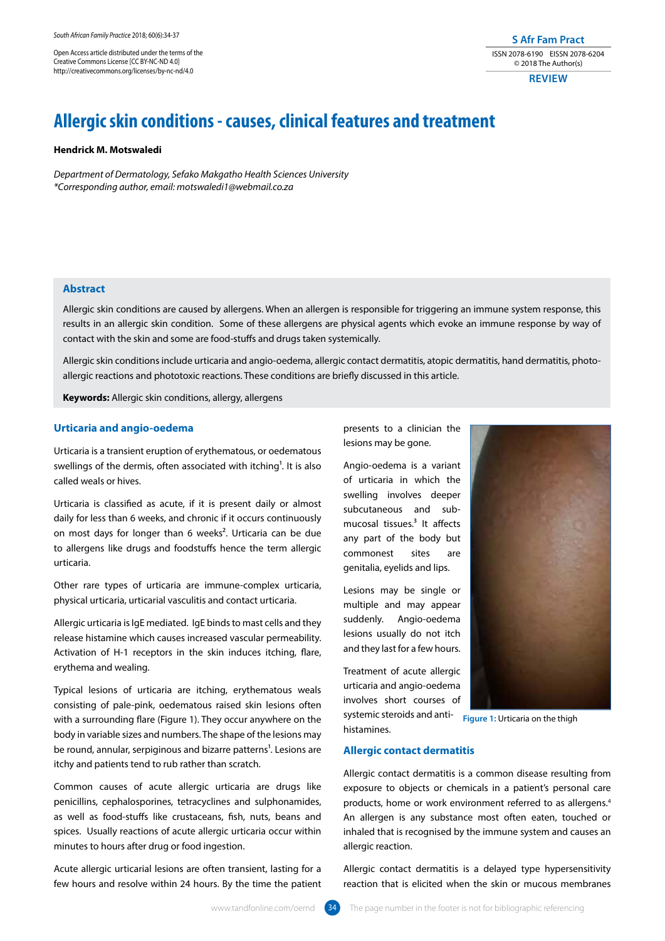Open Access article distributed under the terms of the Creative Commons License [CC BY-NC-ND 4.0] http://creativecommons.org/licenses/by-nc-nd/4.0

#### **S Afr Fam Pract** ISSN 2078-6190 EISSN 2078-6204 © 2018 The Author(s)

**REVIEW**

# **Allergic skin conditions - causes, clinical features and treatment**

#### **Hendrick M. Motswaledi**

*Department of Dermatology, Sefako Makgatho Health Sciences University \*Corresponding author, email: motswaledi1@webmail.co.za*

## **Abstract**

Allergic skin conditions are caused by allergens. When an allergen is responsible for triggering an immune system response, this results in an allergic skin condition. Some of these allergens are physical agents which evoke an immune response by way of contact with the skin and some are food-stuffs and drugs taken systemically.

Allergic skin conditions include urticaria and angio-oedema, allergic contact dermatitis, atopic dermatitis, hand dermatitis, photoallergic reactions and phototoxic reactions. These conditions are briefly discussed in this article.

**Keywords:** Allergic skin conditions, allergy, allergens

#### **Urticaria and angio-oedema**

Urticaria is a transient eruption of erythematous, or oedematous swellings of the dermis, often associated with itching<sup>1</sup>. It is also called weals or hives.

Urticaria is classified as acute, if it is present daily or almost daily for less than 6 weeks, and chronic if it occurs continuously on most days for longer than 6 weeks². Urticaria can be due to allergens like drugs and foodstuffs hence the term allergic urticaria.

Other rare types of urticaria are immune-complex urticaria, physical urticaria, urticarial vasculitis and contact urticaria.

Allergic urticaria is IgE mediated. IgE binds to mast cells and they release histamine which causes increased vascular permeability. Activation of H-1 receptors in the skin induces itching, flare, erythema and wealing.

Typical lesions of urticaria are itching, erythematous weals consisting of pale-pink, oedematous raised skin lesions often with a surrounding flare (Figure 1). They occur anywhere on the body in variable sizes and numbers. The shape of the lesions may be round, annular, serpiginous and bizarre patterns<sup>1</sup>. Lesions are itchy and patients tend to rub rather than scratch.

Common causes of acute allergic urticaria are drugs like penicillins, cephalosporines, tetracyclines and sulphonamides, as well as food-stuffs like crustaceans, fish, nuts, beans and spices. Usually reactions of acute allergic urticaria occur within minutes to hours after drug or food ingestion.

Acute allergic urticarial lesions are often transient, lasting for a few hours and resolve within 24 hours. By the time the patient presents to a clinician the lesions may be gone.

Angio-oedema is a variant of urticaria in which the swelling involves deeper subcutaneous and submucosal tissues. $3$  It affects any part of the body but commonest sites are genitalia, eyelids and lips.

Lesions may be single or multiple and may appear suddenly. Angio-oedema lesions usually do not itch and they last for a few hours.

Treatment of acute allergic urticaria and angio-oedema involves short courses of systemic steroids and anti-

histamines.



**Figure 1: Urticaria on the thigh** 

#### **Allergic contact dermatitis**

Allergic contact dermatitis is a common disease resulting from exposure to objects or chemicals in a patient's personal care products, home or work environment referred to as allergens.4 An allergen is any substance most often eaten, touched or inhaled that is recognised by the immune system and causes an allergic reaction.

Allergic contact dermatitis is a delayed type hypersensitivity reaction that is elicited when the skin or mucous membranes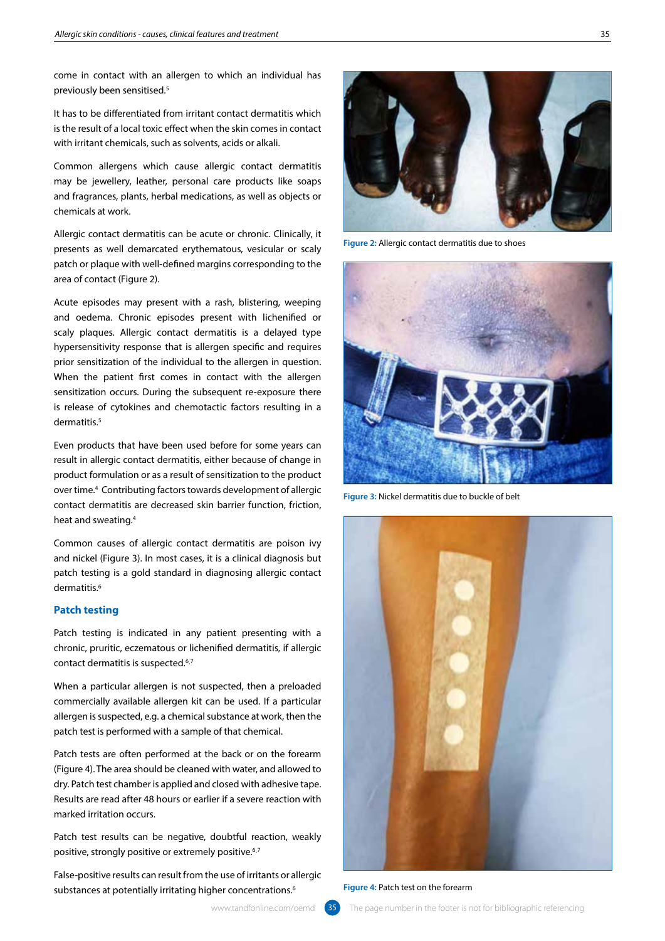come in contact with an allergen to which an individual has previously been sensitised.5

It has to be differentiated from irritant contact dermatitis which is the result of a local toxic effect when the skin comes in contact with irritant chemicals, such as solvents, acids or alkali.

Common allergens which cause allergic contact dermatitis may be jewellery, leather, personal care products like soaps and fragrances, plants, herbal medications, as well as objects or chemicals at work.

Allergic contact dermatitis can be acute or chronic. Clinically, it presents as well demarcated erythematous, vesicular or scaly patch or plaque with well-defined margins corresponding to the area of contact (Figure 2).

Acute episodes may present with a rash, blistering, weeping and oedema. Chronic episodes present with lichenified or scaly plaques. Allergic contact dermatitis is a delayed type hypersensitivity response that is allergen specific and requires prior sensitization of the individual to the allergen in question. When the patient first comes in contact with the allergen sensitization occurs. During the subsequent re-exposure there is release of cytokines and chemotactic factors resulting in a dermatitis.<sup>5</sup>

Even products that have been used before for some years can result in allergic contact dermatitis, either because of change in product formulation or as a result of sensitization to the product over time.4 Contributing factors towards development of allergic contact dermatitis are decreased skin barrier function, friction, heat and sweating.4

Common causes of allergic contact dermatitis are poison ivy and nickel (Figure 3). In most cases, it is a clinical diagnosis but patch testing is a gold standard in diagnosing allergic contact dermatitis.<sup>6</sup>

#### **Patch testing**

Patch testing is indicated in any patient presenting with a chronic, pruritic, eczematous or lichenified dermatitis, if allergic contact dermatitis is suspected.6¸7

When a particular allergen is not suspected, then a preloaded commercially available allergen kit can be used. If a particular allergen is suspected, e.g. a chemical substance at work, then the patch test is performed with a sample of that chemical.

Patch tests are often performed at the back or on the forearm (Figure 4). The area should be cleaned with water, and allowed to dry. Patch test chamber is applied and closed with adhesive tape. Results are read after 48 hours or earlier if a severe reaction with marked irritation occurs.

Patch test results can be negative, doubtful reaction, weakly positive, strongly positive or extremely positive.6¸7

False-positive results can result from the use of irritants or allergic substances at potentially irritating higher concentrations.<sup>6</sup>



**Figure 2:** Allergic contact dermatitis due to shoes



**Figure 3:** Nickel dermatitis due to buckle of belt



**Figure 4: Patch test on the forearm**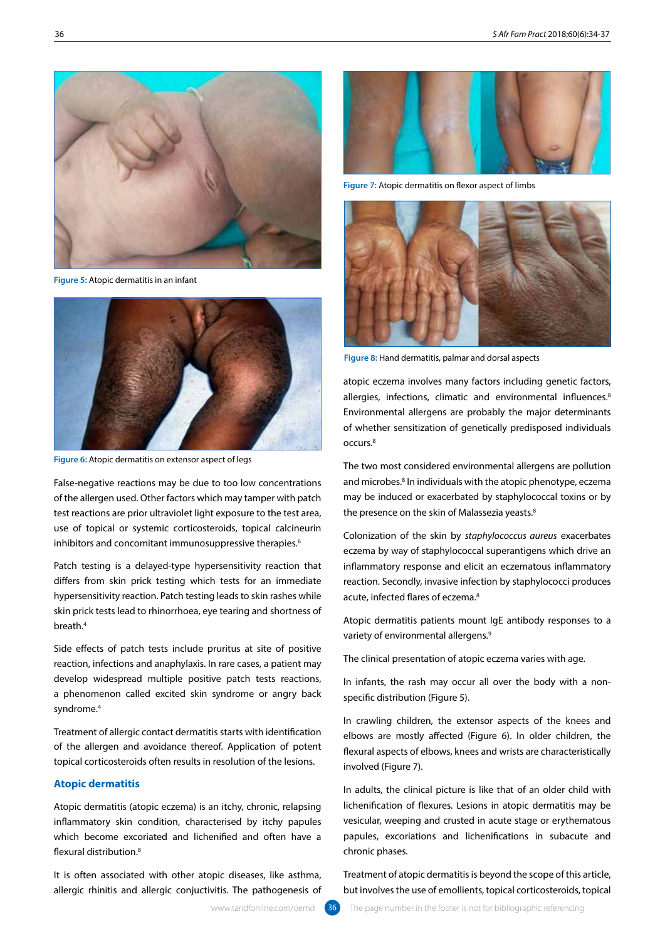

**Figure 5:** Atopic dermatitis in an infant



**Figure 6:** Atopic dermatitis on extensor aspect of legs

False-negative reactions may be due to too low concentrations of the allergen used. Other factors which may tamper with patch test reactions are prior ultraviolet light exposure to the test area, use of topical or systemic corticosteroids, topical calcineurin inhibitors and concomitant immunosuppressive therapies.<sup>6</sup>

Patch testing is a delayed-type hypersensitivity reaction that differs from skin prick testing which tests for an immediate hypersensitivity reaction. Patch testing leads to skin rashes while skin prick tests lead to rhinorrhoea, eye tearing and shortness of breath.4

Side effects of patch tests include pruritus at site of positive reaction, infections and anaphylaxis. In rare cases, a patient may develop widespread multiple positive patch tests reactions, a phenomenon called excited skin syndrome or angry back syndrome.4

Treatment of allergic contact dermatitis starts with identification of the allergen and avoidance thereof. Application of potent topical corticosteroids often results in resolution of the lesions.

### **Atopic dermatitis**

Atopic dermatitis (atopic eczema) is an itchy, chronic, relapsing inflammatory skin condition, characterised by itchy papules which become excoriated and lichenified and often have a flexural distribution<sup>8</sup>

It is often associated with other atopic diseases, like asthma, allergic rhinitis and allergic conjuctivitis. The pathogenesis of



**Figure 7:** Atopic dermatitis on flexor aspect of limbs



**Figure 8:** Hand dermatitis, palmar and dorsal aspects

atopic eczema involves many factors including genetic factors, allergies, infections, climatic and environmental influences.<sup>8</sup> Environmental allergens are probably the major determinants of whether sensitization of genetically predisposed individuals occurs.8

The two most considered environmental allergens are pollution and microbes.<sup>8</sup> In individuals with the atopic phenotype, eczema may be induced or exacerbated by staphylococcal toxins or by the presence on the skin of Malassezia yeasts.<sup>8</sup>

Colonization of the skin by *staphylococcus aureus* exacerbates eczema by way of staphylococcal superantigens which drive an inflammatory response and elicit an eczematous inflammatory reaction. Secondly, invasive infection by staphylococci produces acute, infected flares of eczema.<sup>8</sup>

Atopic dermatitis patients mount IgE antibody responses to a variety of environmental allergens.<sup>9</sup>

The clinical presentation of atopic eczema varies with age.

In infants, the rash may occur all over the body with a nonspecific distribution (Figure 5).

In crawling children, the extensor aspects of the knees and elbows are mostly affected (Figure 6). In older children, the flexural aspects of elbows, knees and wrists are characteristically involved (Figure 7).

In adults, the clinical picture is like that of an older child with lichenification of flexures. Lesions in atopic dermatitis may be vesicular, weeping and crusted in acute stage or erythematous papules, excoriations and lichenifications in subacute and chronic phases.

Treatment of atopic dermatitis is beyond the scope of this article, but involves the use of emollients, topical corticosteroids, topical